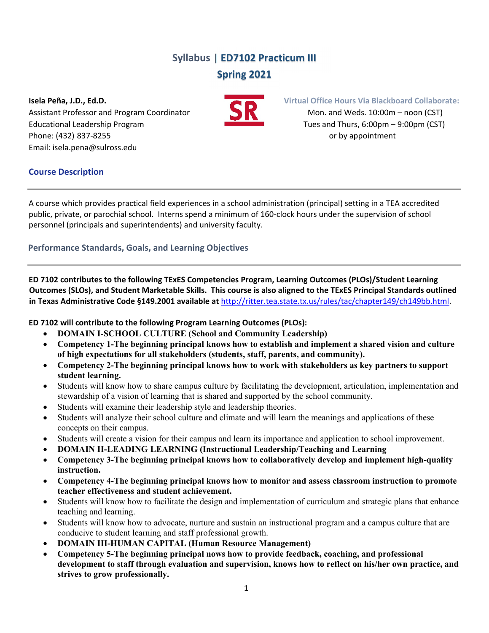# **Syllabus | ED7102 Practicum III Spring 2021**

**Isela Peña, J.D., Ed.D. Virtual Office Hours Via Blackboard Collaborate:** Assistant Professor and Program Coordinator **1999 Mon.** and Weds. 10:00m – noon (CST) Educational Leadership Program Tues and Thurs, 6:00pm – 9:00pm (CST) Phone: (432) 837‐8255 or by appointment Email: isela.pena@sulross.edu



# **Course Description**

A course which provides practical field experiences in a school administration (principal) setting in a TEA accredited public, private, or parochial school. Interns spend a minimum of 160‐clock hours under the supervision of school personnel (principals and superintendents) and university faculty.

# **Performance Standards, Goals, and Learning Objectives**

**ED 7102 contributes to the following TExES Competencies Program, Learning Outcomes (PLOs)/Student Learning** Outcomes (SLOs), and Student Marketable Skills. This course is also aligned to the TExES Principal Standards outlined **in Texas Administrative Code §149.2001 available at** http://ritter.tea.state.tx.us/rules/tac/chapter149/ch149bb.html.

**ED 7102 will contribute to the following Program Learning Outcomes (PLOs):**

- **DOMAIN I-SCHOOL CULTURE (School and Community Leadership)**
- **Competency 1-The beginning principal knows how to establish and implement a shared vision and culture of high expectations for all stakeholders (students, staff, parents, and community).**
- **Competency 2-The beginning principal knows how to work with stakeholders as key partners to support student learning.**
- Students will know how to share campus culture by facilitating the development, articulation, implementation and stewardship of a vision of learning that is shared and supported by the school community.
- Students will examine their leadership style and leadership theories.
- Students will analyze their school culture and climate and will learn the meanings and applications of these concepts on their campus.
- Students will create a vision for their campus and learn its importance and application to school improvement.
- **DOMAIN II-LEADING LEARNING (Instructional Leadership/Teaching and Learning**
- **Competency 3-The beginning principal knows how to collaboratively develop and implement high-quality instruction.**
- **Competency 4-The beginning principal knows how to monitor and assess classroom instruction to promote teacher effectiveness and student achievement.**
- Students will know how to facilitate the design and implementation of curriculum and strategic plans that enhance teaching and learning.
- Students will know how to advocate, nurture and sustain an instructional program and a campus culture that are conducive to student learning and staff professional growth.
- **DOMAIN III-HUMAN CAPITAL (Human Resource Management)**
- **Competency 5-The beginning principal nows how to provide feedback, coaching, and professional development to staff through evaluation and supervision, knows how to reflect on his/her own practice, and strives to grow professionally.**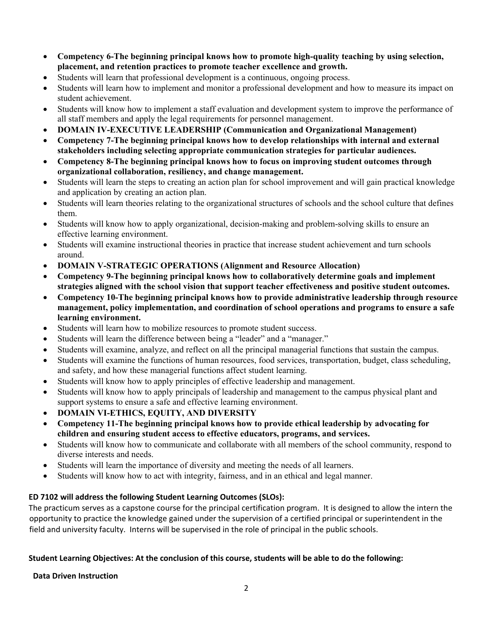- **Competency 6-The beginning principal knows how to promote high-quality teaching by using selection, placement, and retention practices to promote teacher excellence and growth.**
- Students will learn that professional development is a continuous, ongoing process.
- Students will learn how to implement and monitor a professional development and how to measure its impact on student achievement.
- Students will know how to implement a staff evaluation and development system to improve the performance of all staff members and apply the legal requirements for personnel management.
- **DOMAIN IV-EXECUTIVE LEADERSHIP (Communication and Organizational Management)**
- **Competency 7-The beginning principal knows how to develop relationships with internal and external stakeholders including selecting appropriate communication strategies for particular audiences.**
- **Competency 8-The beginning principal knows how to focus on improving student outcomes through organizational collaboration, resiliency, and change management.**
- Students will learn the steps to creating an action plan for school improvement and will gain practical knowledge and application by creating an action plan.
- Students will learn theories relating to the organizational structures of schools and the school culture that defines them.
- Students will know how to apply organizational, decision-making and problem-solving skills to ensure an effective learning environment.
- Students will examine instructional theories in practice that increase student achievement and turn schools around.
- **DOMAIN V-STRATEGIC OPERATIONS (Alignment and Resource Allocation)**
- **Competency 9-The beginning principal knows how to collaboratively determine goals and implement strategies aligned with the school vision that support teacher effectiveness and positive student outcomes.**
- **Competency 10-The beginning principal knows how to provide administrative leadership through resource management, policy implementation, and coordination of school operations and programs to ensure a safe learning environment.**
- Students will learn how to mobilize resources to promote student success.
- Students will learn the difference between being a "leader" and a "manager."
- Students will examine, analyze, and reflect on all the principal managerial functions that sustain the campus.
- Students will examine the functions of human resources, food services, transportation, budget, class scheduling, and safety, and how these managerial functions affect student learning.
- Students will know how to apply principles of effective leadership and management.
- Students will know how to apply principals of leadership and management to the campus physical plant and support systems to ensure a safe and effective learning environment.
- **DOMAIN VI-ETHICS, EQUITY, AND DIVERSITY**
- **Competency 11-The beginning principal knows how to provide ethical leadership by advocating for children and ensuring student access to effective educators, programs, and services.**
- Students will know how to communicate and collaborate with all members of the school community, respond to diverse interests and needs.
- Students will learn the importance of diversity and meeting the needs of all learners.
- Students will know how to act with integrity, fairness, and in an ethical and legal manner.

### **ED 7102 will address the following Student Learning Outcomes (SLOs):**

The practicum serves as a capstone course for the principal certification program. It is designed to allow the intern the opportunity to practice the knowledge gained under the supervision of a certified principal or superintendent in the field and university faculty. Interns will be supervised in the role of principal in the public schools.

### **Student Learning Objectives: At the conclusion of this course, students will be able to do the following:**

**Data Driven Instruction**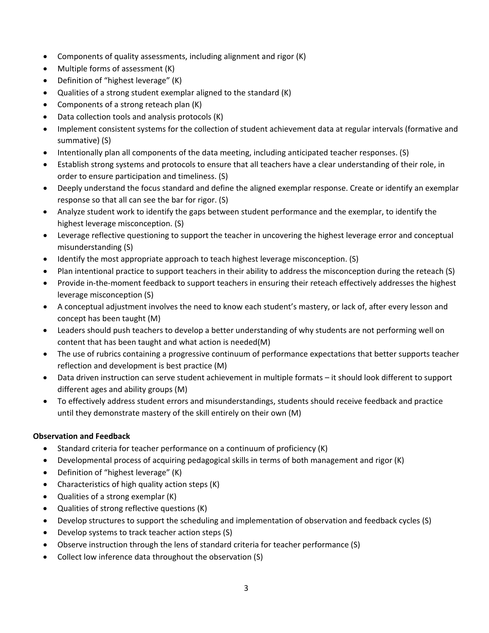- Components of quality assessments, including alignment and rigor (K)
- Multiple forms of assessment (K)
- Definition of "highest leverage" (K)
- Qualities of a strong student exemplar aligned to the standard (K)
- Components of a strong reteach plan (K)
- Data collection tools and analysis protocols (K)
- Implement consistent systems for the collection of student achievement data at regular intervals (formative and summative) (S)
- Intentionally plan all components of the data meeting, including anticipated teacher responses. (S)
- Establish strong systems and protocols to ensure that all teachers have a clear understanding of their role, in order to ensure participation and timeliness. (S)
- Deeply understand the focus standard and define the aligned exemplar response. Create or identify an exemplar response so that all can see the bar for rigor. (S)
- Analyze student work to identify the gaps between student performance and the exemplar, to identify the highest leverage misconception. (S)
- Leverage reflective questioning to support the teacher in uncovering the highest leverage error and conceptual misunderstanding (S)
- Identify the most appropriate approach to teach highest leverage misconception. (S)
- Plan intentional practice to support teachers in their ability to address the misconception during the reteach (S)
- Provide in-the-moment feedback to support teachers in ensuring their reteach effectively addresses the highest leverage misconception (S)
- A conceptual adjustment involves the need to know each student's mastery, or lack of, after every lesson and concept has been taught (M)
- Leaders should push teachers to develop a better understanding of why students are not performing well on content that has been taught and what action is needed(M)
- The use of rubrics containing a progressive continuum of performance expectations that better supports teacher reflection and development is best practice (M)
- Data driven instruction can serve student achievement in multiple formats it should look different to support different ages and ability groups (M)
- To effectively address student errors and misunderstandings, students should receive feedback and practice until they demonstrate mastery of the skill entirely on their own (M)

# **Observation and Feedback**

- Standard criteria for teacher performance on a continuum of proficiency (K)
- Developmental process of acquiring pedagogical skills in terms of both management and rigor (K)
- Definition of "highest leverage" (K)
- Characteristics of high quality action steps (K)
- Qualities of a strong exemplar (K)
- Qualities of strong reflective questions (K)
- Develop structures to support the scheduling and implementation of observation and feedback cycles (S)
- Develop systems to track teacher action steps (S)
- Observe instruction through the lens of standard criteria for teacher performance (S)
- Collect low inference data throughout the observation (S)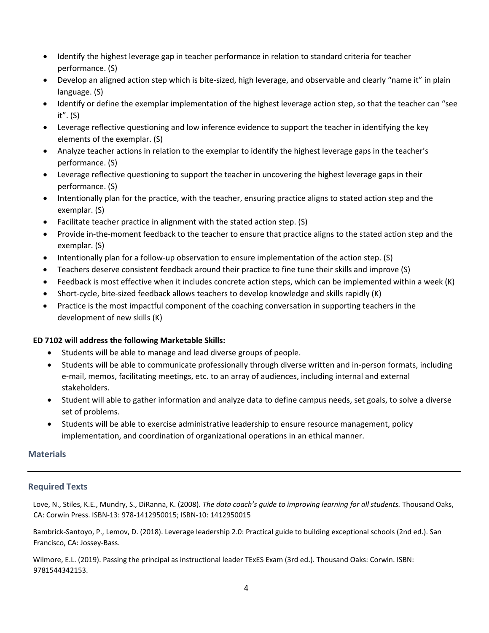- Identify the highest leverage gap in teacher performance in relation to standard criteria for teacher performance. (S)
- Develop an aligned action step which is bite-sized, high leverage, and observable and clearly "name it" in plain language. (S)
- Identify or define the exemplar implementation of the highest leverage action step, so that the teacher can "see it". (S)
- Leverage reflective questioning and low inference evidence to support the teacher in identifying the key elements of the exemplar. (S)
- Analyze teacher actions in relation to the exemplar to identify the highest leverage gaps in the teacher's performance. (S)
- Leverage reflective questioning to support the teacher in uncovering the highest leverage gaps in their performance. (S)
- Intentionally plan for the practice, with the teacher, ensuring practice aligns to stated action step and the exemplar. (S)
- Facilitate teacher practice in alignment with the stated action step. (S)
- Provide in‐the‐moment feedback to the teacher to ensure that practice aligns to the stated action step and the exemplar. (S)
- Intentionally plan for a follow-up observation to ensure implementation of the action step. (S)
- Teachers deserve consistent feedback around their practice to fine tune their skills and improve (S)
- Feedback is most effective when it includes concrete action steps, which can be implemented within a week (K)
- Short-cycle, bite-sized feedback allows teachers to develop knowledge and skills rapidly (K)
- Practice is the most impactful component of the coaching conversation in supporting teachers in the development of new skills (K)

### **ED 7102 will address the following Marketable Skills:**

- Students will be able to manage and lead diverse groups of people.
- Students will be able to communicate professionally through diverse written and in-person formats, including e‐mail, memos, facilitating meetings, etc. to an array of audiences, including internal and external stakeholders.
- Student will able to gather information and analyze data to define campus needs, set goals, to solve a diverse set of problems.
- Students will be able to exercise administrative leadership to ensure resource management, policy implementation, and coordination of organizational operations in an ethical manner.

### **Materials**

### **Required Texts**

Love, N., Stiles, K.E., Mundry, S., DiRanna, K. (2008). *The data coach's guide to improving learning for all students.* Thousand Oaks, CA: Corwin Press. ISBN‐13: 978‐1412950015; ISBN‐10: 1412950015

Bambrick‐Santoyo, P., Lemov, D. (2018). Leverage leadership 2.0: Practical guide to building exceptional schools (2nd ed.). San Francisco, CA: Jossey‐Bass.

Wilmore, E.L. (2019). Passing the principal as instructional leader TExES Exam (3rd ed.). Thousand Oaks: Corwin. ISBN: 9781544342153.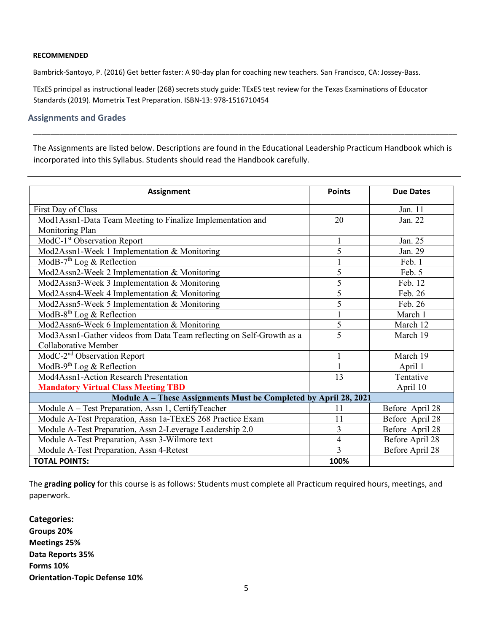#### **RECOMMENDED**

Bambrick‐Santoyo, P. (2016) Get better faster: A 90‐day plan for coaching new teachers. San Francisco, CA: Jossey‐Bass.

TExES principal as instructional leader (268) secrets study guide: TExES test review for the Texas Examinations of Educator Standards (2019). Mometrix Test Preparation. ISBN‐13: 978‐1516710454

#### **Assignments and Grades**

The Assignments are listed below. Descriptions are found in the Educational Leadership Practicum Handbook which is incorporated into this Syllabus. Students should read the Handbook carefully.

\_\_\_\_\_\_\_\_\_\_\_\_\_\_\_\_\_\_\_\_\_\_\_\_\_\_\_\_\_\_\_\_\_\_\_\_\_\_\_\_\_\_\_\_\_\_\_\_\_\_\_\_\_\_\_\_\_\_\_\_\_\_\_\_\_\_\_\_\_\_\_\_\_\_\_\_\_\_\_\_\_\_\_\_\_\_\_\_\_\_\_\_\_\_\_\_\_

| Assignment                                                            | <b>Points</b>  | <b>Due Dates</b> |
|-----------------------------------------------------------------------|----------------|------------------|
| First Day of Class                                                    |                | Jan. $11$        |
| Mod1Assn1-Data Team Meeting to Finalize Implementation and            | 20             | Jan. 22          |
| Monitoring Plan                                                       |                |                  |
| ModC-1 <sup>st</sup> Observation Report                               | 1              | Jan. 25          |
| Mod2Assn1-Week 1 Implementation & Monitoring                          | 5              | Jan. 29          |
| ModB-7 <sup>th</sup> Log & Reflection                                 | $\mathbf{1}$   | Feb. 1           |
| Mod2Assn2-Week 2 Implementation & Monitoring                          | 5              | Feb. 5           |
| Mod2Assn3-Week 3 Implementation & Monitoring                          | $\overline{5}$ | Feb. 12          |
| Mod2Assn4-Week 4 Implementation & Monitoring                          | 5              | Feb. 26          |
| Mod2Assn5-Week 5 Implementation & Monitoring                          | 5              | Feb. 26          |
| ModB-8 <sup>th</sup> Log & Reflection                                 | 1              | March 1          |
| Mod2Assn6-Week 6 Implementation & Monitoring                          | 5              | March 12         |
| Mod3Assn1-Gather videos from Data Team reflecting on Self-Growth as a | 5              | March 19         |
| <b>Collaborative Member</b>                                           |                |                  |
| ModC-2 <sup>nd</sup> Observation Report                               |                | March 19         |
| ModB-9 <sup>th</sup> Log & Reflection                                 | 1              | April 1          |
| Mod4Assn1-Action Research Presentation                                | 13             | Tentative        |
| <b>Mandatory Virtual Class Meeting TBD</b>                            |                | April 10         |
| Module A - These Assignments Must be Completed by April 28, 2021      |                |                  |
| Module A - Test Preparation, Assn 1, CertifyTeacher                   | 11             | Before April 28  |
| Module A-Test Preparation, Assn 1a-TExES 268 Practice Exam            | 11             | Before April 28  |
| Module A-Test Preparation, Assn 2-Leverage Leadership 2.0             | 3              | Before April 28  |
| Module A-Test Preparation, Assn 3-Wilmore text                        | $\overline{4}$ | Before April 28  |
| Module A-Test Preparation, Assn 4-Retest                              | $\overline{3}$ | Before April 28  |
| <b>TOTAL POINTS:</b>                                                  | 100%           |                  |

The **grading policy** for this course is as follows: Students must complete all Practicum required hours, meetings, and paperwork.

**Categories: Groups 20% Meetings 25% Data Reports 35% Forms 10% Orientation‐Topic Defense 10%**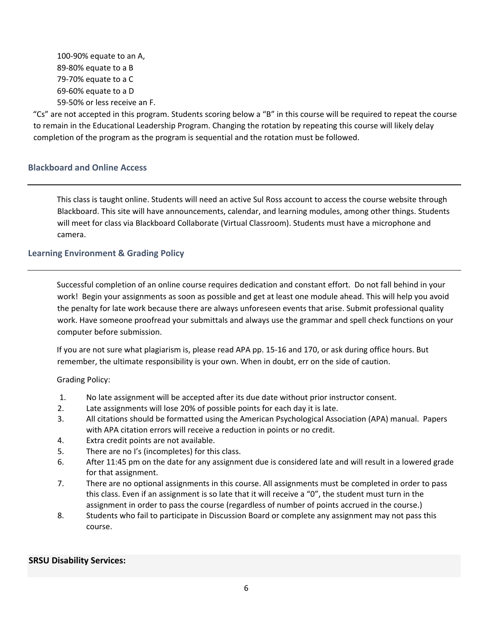‐90% equate to an A, ‐80% equate to a B ‐70% equate to a C ‐60% equate to a D ‐50% or less receive an F.

"Cs" are not accepted in this program. Students scoring below a "B" in this course will be required to repeat the course to remain in the Educational Leadership Program. Changing the rotation by repeating this course will likely delay completion of the program as the program is sequential and the rotation must be followed.

# **Blackboard and Online Access**

This class is taught online. Students will need an active Sul Ross account to access the course website through Blackboard. This site will have announcements, calendar, and learning modules, among other things. Students will meet for class via Blackboard Collaborate (Virtual Classroom). Students must have a microphone and camera.

## **Learning Environment & Grading Policy**

Successful completion of an online course requires dedication and constant effort. Do not fall behind in your work! Begin your assignments as soon as possible and get at least one module ahead. This will help you avoid the penalty for late work because there are always unforeseen events that arise. Submit professional quality work. Have someone proofread your submittals and always use the grammar and spell check functions on your computer before submission.

If you are not sure what plagiarism is, please read APA pp. 15‐16 and 170, or ask during office hours. But remember, the ultimate responsibility is your own. When in doubt, err on the side of caution.

Grading Policy:

- 1. No late assignment will be accepted after its due date without prior instructor consent.
- 2. Late assignments will lose 20% of possible points for each day it is late.
- 3. All citations should be formatted using the American Psychological Association (APA) manual. Papers with APA citation errors will receive a reduction in points or no credit.
- 4. Extra credit points are not available.
- 5. There are no I's (incompletes) for this class.
- 6. After 11:45 pm on the date for any assignment due is considered late and will result in a lowered grade for that assignment.
- 7. There are no optional assignments in this course. All assignments must be completed in order to pass this class. Even if an assignment is so late that it will receive a "0", the student must turn in the assignment in order to pass the course (regardless of number of points accrued in the course.)
- 8. Students who fail to participate in Discussion Board or complete any assignment may not pass this course.

### **SRSU Disability Services:**